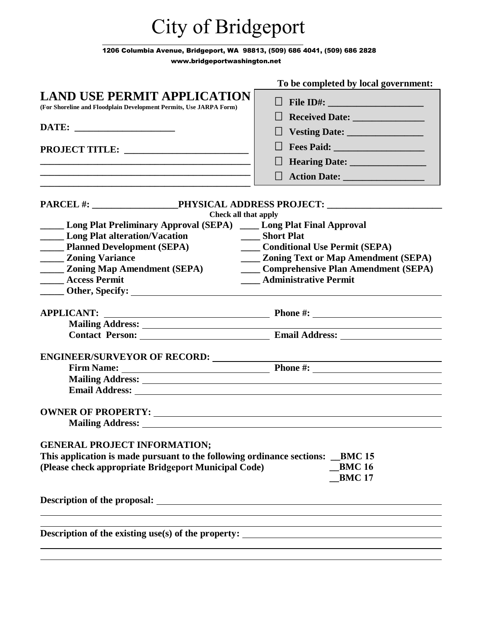## City of Bridgeport

1206 Columbia Avenue, Bridgeport, WA 98813, (509) 686 4041, (509) 686 2828

[www.bridgeportwashington.](http://www.townoftwisp.com/)net

|                                                                                                                                                                                                                                           | To be completed by local government:                                                                                                                                                                                                           |
|-------------------------------------------------------------------------------------------------------------------------------------------------------------------------------------------------------------------------------------------|------------------------------------------------------------------------------------------------------------------------------------------------------------------------------------------------------------------------------------------------|
| <b>LAND USE PERMIT APPLICATION</b>                                                                                                                                                                                                        | $\Box$ File ID#:                                                                                                                                                                                                                               |
| (For Shoreline and Floodplain Development Permits, Use JARPA Form)                                                                                                                                                                        | $\Box$                                                                                                                                                                                                                                         |
|                                                                                                                                                                                                                                           |                                                                                                                                                                                                                                                |
|                                                                                                                                                                                                                                           |                                                                                                                                                                                                                                                |
|                                                                                                                                                                                                                                           | Fees Paid: <u>New York: New York: New York: New York: New York: New York: New York: New York: New York: New York: New York: New York: New York: New York: New York: New York: New York: New York: New York: New York: New York: </u><br>$\Box$ |
|                                                                                                                                                                                                                                           |                                                                                                                                                                                                                                                |
| <u> 1989 - Johann Barn, amerikan bernama di sebagai bernama dan bernama di sebagai bernama di sebagai bernama di</u>                                                                                                                      | $\Box$                                                                                                                                                                                                                                         |
| PARCEL #: PHYSICAL ADDRESS PROJECT:                                                                                                                                                                                                       |                                                                                                                                                                                                                                                |
| Check all that apply                                                                                                                                                                                                                      |                                                                                                                                                                                                                                                |
| <b>_____ Long Plat Preliminary Approval (SEPA)</b> ____ Long Plat Final Approval                                                                                                                                                          |                                                                                                                                                                                                                                                |
| <b>Long Plat alteration/Vacation</b>                                                                                                                                                                                                      | __ Short Plat                                                                                                                                                                                                                                  |
| <b>_______ Planned Development (SEPA)</b>                                                                                                                                                                                                 | <b>Conditional Use Permit (SEPA)</b>                                                                                                                                                                                                           |
| <b>_____ Zoning Variance</b>                                                                                                                                                                                                              | <b>EXAMPLE 2.5 Zoning Text or Map Amendment (SEPA)</b>                                                                                                                                                                                         |
| <b>_____ Zoning Map Amendment (SEPA)</b>                                                                                                                                                                                                  | Comprehensive Plan Amendment (SEPA)                                                                                                                                                                                                            |
| <b>Access Permit</b>                                                                                                                                                                                                                      | <b>Administrative Permit</b>                                                                                                                                                                                                                   |
| <b>Example 2.1 Other, Specify:</b> <u>Containing the set of the set of the set of the set of the set of the set of the set of the set of the set of the set of the set of the set of the set of the set of the set of the set of the </u> |                                                                                                                                                                                                                                                |
| <b>APPLICANT:</b>                                                                                                                                                                                                                         | <b>Example 2018</b> Phone #: <b>All 2018</b> Phone #:                                                                                                                                                                                          |
|                                                                                                                                                                                                                                           |                                                                                                                                                                                                                                                |
|                                                                                                                                                                                                                                           |                                                                                                                                                                                                                                                |
| ENGINEER/SURVEYOR OF RECORD: ___________                                                                                                                                                                                                  |                                                                                                                                                                                                                                                |
|                                                                                                                                                                                                                                           |                                                                                                                                                                                                                                                |
| Mailing Address: 1988 and 2008 and 2008 and 2008 and 2008 and 2008 and 2008 and 2008 and 2008 and 2008 and 200                                                                                                                            |                                                                                                                                                                                                                                                |
|                                                                                                                                                                                                                                           |                                                                                                                                                                                                                                                |
|                                                                                                                                                                                                                                           |                                                                                                                                                                                                                                                |
| <b>Mailing Address:</b>                                                                                                                                                                                                                   |                                                                                                                                                                                                                                                |
|                                                                                                                                                                                                                                           |                                                                                                                                                                                                                                                |
| <b>GENERAL PROJECT INFORMATION;</b>                                                                                                                                                                                                       |                                                                                                                                                                                                                                                |
| This application is made pursuant to the following ordinance sections:                                                                                                                                                                    | <b>BMC 15</b>                                                                                                                                                                                                                                  |
| (Please check appropriate Bridgeport Municipal Code)                                                                                                                                                                                      | <b>BMC16</b>                                                                                                                                                                                                                                   |
|                                                                                                                                                                                                                                           | <b>BMC17</b>                                                                                                                                                                                                                                   |
|                                                                                                                                                                                                                                           |                                                                                                                                                                                                                                                |
|                                                                                                                                                                                                                                           |                                                                                                                                                                                                                                                |
|                                                                                                                                                                                                                                           |                                                                                                                                                                                                                                                |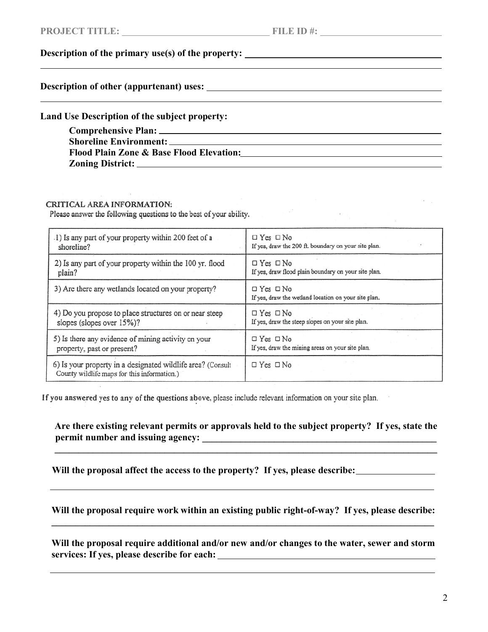$\mathcal{O}(\mathcal{F}^{\mathcal{F}})$ 

## **Description of the primary use(s) of the property:**

**Description of other (appurtenant) uses:** 

**Land Use Description of the subject property:** 

| <b>Comprehensive Plan:</b> ___                      |
|-----------------------------------------------------|
| <b>Shoreline Environment:</b>                       |
| <b>Flood Plain Zone &amp; Base Flood Elevation:</b> |
| <b>Zoning District:</b>                             |

## **CRITICAL AREA INFORMATION:**

Please answer the following questions to the best of your ability.

| .1) Is any part of your property within 200 feet of a                                                      | $\Box$ Yes $\Box$ No                                                         |
|------------------------------------------------------------------------------------------------------------|------------------------------------------------------------------------------|
| shoreline?                                                                                                 | If yes, draw the 200 ft. boundary on your site plan.                         |
| 2) Is any part of your property within the 100 yr. flood                                                   | $\Box$ Yes $\Box$ No                                                         |
| plain?                                                                                                     | If yes, draw flood plain boundary on your site plan.                         |
| 3) Are there any wetlands located on your property?                                                        | $\Box$ Yes $\Box$ No<br>If yes, draw the wetland location on your site plan. |
| 4) Do you propose to place structures on or near steep                                                     | $\Box$ Yes $\Box$ No                                                         |
| slopes (slopes over 15%)?                                                                                  | If yes, draw the steep slopes on your site plan.                             |
| 5) Is there any evidence of mining activity on your                                                        | $\Box$ Yes $\Box$ No                                                         |
| property, past or present?                                                                                 | If yes, draw the mining areas on your site plan.                             |
| 6) Is your property in a designated wildlife area? (Consult<br>County wildlife maps for this information.) | $\Box$ Yes $\Box$ No                                                         |

If you answered yes to any of the questions above, please include relevant information on your site plan.

**Are there existing relevant permits or approvals held to the subject property? If yes, state the permit number and issuing agency: \_\_\_\_\_\_\_\_\_\_\_\_\_\_\_\_\_\_\_\_\_\_\_\_\_\_\_\_\_\_\_\_\_\_\_\_\_\_\_\_\_\_\_\_\_\_\_\_\_**

**\_\_\_\_\_\_\_\_\_\_\_\_\_\_\_\_\_\_\_\_\_\_\_\_\_\_\_\_\_\_\_\_\_\_\_\_\_\_\_\_\_\_\_\_\_\_\_\_\_\_\_\_\_\_\_\_\_\_\_\_\_\_\_\_\_\_\_\_\_\_\_\_\_\_\_\_\_\_\_\_**

**Will the proposal affect the access to the property? If yes, please describe:** 

**Will the proposal require work within an existing public right-of-way? If yes, please describe: \_\_\_\_\_\_\_\_\_\_\_\_\_\_\_\_\_\_\_\_\_\_\_\_\_\_\_\_\_\_\_\_\_\_\_\_\_\_\_\_\_\_\_\_\_\_\_\_\_\_\_\_\_\_\_\_\_\_\_\_\_\_\_\_\_\_\_\_\_\_\_\_\_\_\_\_\_\_\_\_**

**Will the proposal require additional and/or new and/or changes to the water, sewer and storm services: If yes, please describe for each:**